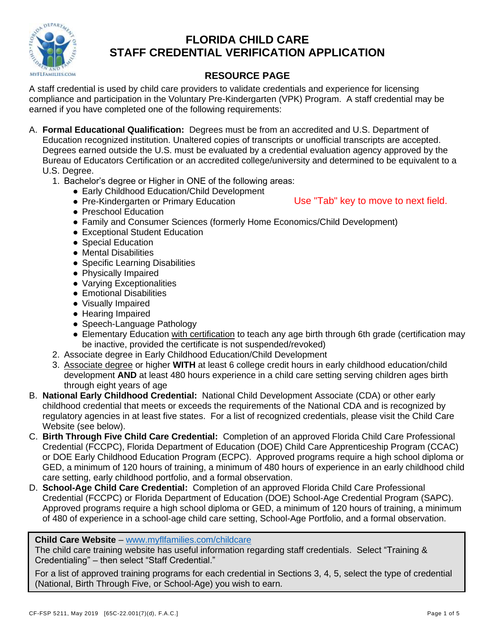

## **FLORIDA CHILD CARE STAFF CREDENTIAL VERIFICATION APPLICATION**

## **RESOURCE PAGE**

A staff credential is used by child care providers to validate credentials and experience for licensing compliance and participation in the Voluntary Pre-Kindergarten (VPK) Program. A staff credential may be earned if you have completed one of the following requirements:

- A. **Formal Educational Qualification:** Degrees must be from an accredited and U.S. Department of Education recognized institution. Unaltered copies of transcripts or unofficial transcripts are accepted. Degrees earned outside the U.S. must be evaluated by a credential evaluation agency approved by the Bureau of Educators Certification or an accredited college/university and determined to be equivalent to a U.S. Degree.
	- 1. Bachelor's degree or Higher in ONE of the following areas:
		- Early Childhood Education/Child Development
		- Pre-Kindergarten or Primary Education
- Use "Tab" key to move to next field.
- Preschool Education
- Family and Consumer Sciences (formerly Home Economics/Child Development)
- Exceptional Student Education
- Special Education
- Mental Disabilities
- Specific Learning Disabilities
- Physically Impaired
- Varying Exceptionalities
- Emotional Disabilities
- Visually Impaired
- Hearing Impaired
- Speech-Language Pathology
- Elementary Education with certification to teach any age birth through 6th grade (certification may be inactive, provided the certificate is not suspended/revoked)
- 2. Associate degree in Early Childhood Education/Child Development
- 3. Associate degree or higher **WITH** at least 6 college credit hours in early childhood education/child development **AND** at least 480 hours experience in a child care setting serving children ages birth through eight years of age
- B. **National Early Childhood Credential:** National Child Development Associate (CDA) or other early childhood credential that meets or exceeds the requirements of the National CDA and is recognized by regulatory agencies in at least five states. For a list of recognized credentials, please visit the Child Care Website (see below).
- C. **Birth Through Five Child Care Credential:** Completion of an approved Florida Child Care Professional Credential (FCCPC), Florida Department of Education (DOE) Child Care Apprenticeship Program (CCAC) or DOE Early Childhood Education Program (ECPC). Approved programs require a high school diploma or GED, a minimum of 120 hours of training, a minimum of 480 hours of experience in an early childhood child care setting, early childhood portfolio, and a formal observation.
- D. **School-Age Child Care Credential:** Completion of an approved Florida Child Care Professional Credential (FCCPC) or Florida Department of Education (DOE) School-Age Credential Program (SAPC). Approved programs require a high school diploma or GED, a minimum of 120 hours of training, a minimum of 480 of experience in a school-age child care setting, School-Age Portfolio, and a formal observation.

#### **Child Care Website** – [www.myflfamilies.com/childcare](http://www.myflfamilies.com/childcare)

The child care training website has useful information regarding staff credentials. Select "Training & Credentialing" – then select "Staff Credential."

For a list of approved training programs for each credential in Sections 3, 4, 5, select the type of credential (National, Birth Through Five, or School-Age) you wish to earn.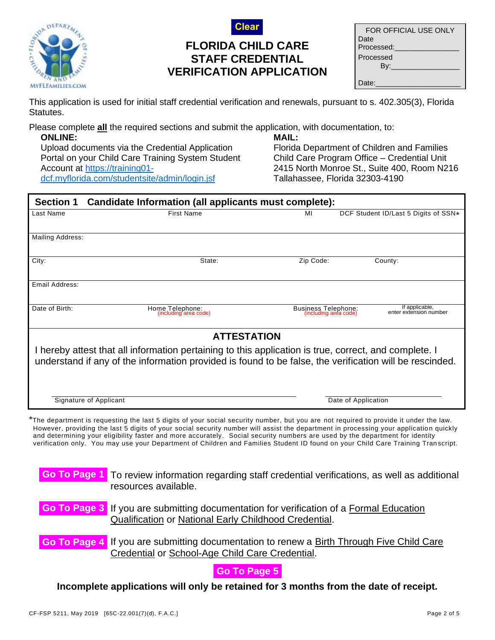



# **FLORIDA CHILD CARE STAFF CREDENTIAL VERIFICATION APPLICATION**

| FOR OFFICIAL USE ONLY |
|-----------------------|
| Date                  |
| Processed:            |
| Processed             |
| Bv:                   |
|                       |
| Date:                 |

This application is used for initial staff credential verification and renewals, pursuant to s. 402.305(3), Florida Statutes.

Please complete **all** the required sections and submit the application, with documentation, to:

**ONLINE:** Upload documents via the Credential Application Portal on your Child Care Training System Student Account at [https://training01](https://training01-dcf.myflorida.com/studentsite/admin/login.jsf) [dcf.myflorida.com/studentsite/admin/login.jsf](https://training01-dcf.myflorida.com/studentsite/admin/login.jsf)

#### **MAIL:**

Florida Department of Children and Families Child Care Program Office – Credential Unit 2415 North Monroe St., Suite 400, Room N216 Tallahassee, Florida 32303-4190

| <b>Section 1</b><br>Candidate Information (all applicants must complete):                                                                                                                                        |                                                                                                                                                                                                                                                                                   |                                              |                                          |  |  |
|------------------------------------------------------------------------------------------------------------------------------------------------------------------------------------------------------------------|-----------------------------------------------------------------------------------------------------------------------------------------------------------------------------------------------------------------------------------------------------------------------------------|----------------------------------------------|------------------------------------------|--|--|
| Last Name                                                                                                                                                                                                        | <b>First Name</b>                                                                                                                                                                                                                                                                 | MI                                           | DCF Student ID/Last 5 Digits of SSN*     |  |  |
| Mailing Address:                                                                                                                                                                                                 |                                                                                                                                                                                                                                                                                   |                                              |                                          |  |  |
| City:                                                                                                                                                                                                            | State:                                                                                                                                                                                                                                                                            | Zip Code:                                    | County:                                  |  |  |
| Email Address:                                                                                                                                                                                                   |                                                                                                                                                                                                                                                                                   |                                              |                                          |  |  |
| Date of Birth:                                                                                                                                                                                                   | Home Telephone:<br>(including area code)                                                                                                                                                                                                                                          | Business Telephone:<br>(including area code) | If applicable,<br>enter extension number |  |  |
| <b>ATTESTATION</b>                                                                                                                                                                                               |                                                                                                                                                                                                                                                                                   |                                              |                                          |  |  |
| I hereby attest that all information pertaining to this application is true, correct, and complete. I<br>understand if any of the information provided is found to be false, the verification will be rescinded. |                                                                                                                                                                                                                                                                                   |                                              |                                          |  |  |
|                                                                                                                                                                                                                  | Signature of Applicant                                                                                                                                                                                                                                                            |                                              | Date of Application                      |  |  |
|                                                                                                                                                                                                                  | $*$ The department is requesting the last 5 digits of your social security number, but you are not required to provide it under the law.<br>However, providing the last 5 digits of your social security number will assist the department in processing your application quickly |                                              |                                          |  |  |

However, providing the last 5 digits of your social security number will assist the department in processing your application quickly and determining your eligibility faster and more accurately. Social security numbers are used by the department for identity verification only. You may use your Department of Children and Families Student ID found on your Child Care Training Tran script.

|                                                                                                                                                     | <b>Go To Page 1</b> To review information regarding staff credential verifications, as well as additional<br>resources available.                       |  |  |  |
|-----------------------------------------------------------------------------------------------------------------------------------------------------|---------------------------------------------------------------------------------------------------------------------------------------------------------|--|--|--|
|                                                                                                                                                     | <b>Go To Page 3</b> If you are submitting documentation for verification of a Formal Education<br>Qualification or National Early Childhood Credential. |  |  |  |
| <b>Go To Page 4</b> If you are submitting documentation to renew a Birth Through Five Child Care<br>Credential or School-Age Child Care Credential. |                                                                                                                                                         |  |  |  |
| Go To Page 5                                                                                                                                        |                                                                                                                                                         |  |  |  |

**Incomplete applications will only be retained for 3 months from the date of receipt.**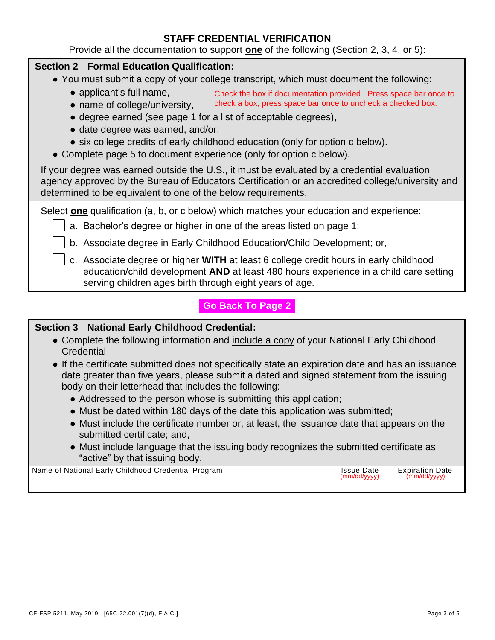#### **STAFF CREDENTIAL VERIFICATION**

Provide all the documentation to support **one** of the following (Section 2, 3, 4, or 5):

#### **Section 2 Formal Education Qualification:**

- You must submit a copy of your college transcript, which must document the following:
	- applicant's full name, Check the box if documentation provided. Press space bar once to
	- name of college/university, check a box; press space bar once to uncheck a checked box.
	- degree earned (see page 1 for a list of acceptable degrees),
	- date degree was earned, and/or,
	- six college credits of early childhood education (only for option c below).
- Complete page 5 to document experience (only for option c below).

If your degree was earned outside the U.S., it must be evaluated by a credential evaluation agency approved by the Bureau of Educators Certification or an accredited college/university and determined to be equivalent to one of the below requirements.

Select **one** qualification (a, b, or c below) which matches your education and experience:

- a. Bachelor's degree or higher in one of the areas listed on page 1;
- b. Associate degree in Early Childhood Education/Child Development; or,
- c. Associate degree or higher **WITH** at least 6 college credit hours in early childhood education/child development **AND** at least 480 hours experience in a child care setting serving children ages birth through eight years of age.

### **Section 3 National Early Childhood Credential:**

- Complete the following information and include a copy of your National Early Childhood **Credential**
- If the certificate submitted does not specifically state an expiration date and has an issuance date greater than five years, please submit a dated and signed statement from the issuing body on their letterhead that includes the following: **Go Back To Page 2**<br> **Credential:**<br>
In and <u>include a copy</u> of your National Early Childhood<br>
ot specifically state an expiration date and has an issuan<br>
se submitt a dated and signed statement from the issuing<br>
udes the f
	- Addressed to the person whose is submitting this application;
	- Must be dated within 180 days of the date this application was submitted;
	- Must include the certificate number or, at least, the issuance date that appears on the submitted certificate; and,
	- Must include language that the issuing body recognizes the submitted certificate as "active" by that issuing body.

Name of National Early Childhood Credential Program Issue Cate Expiration Date Expiration Date Control of the C<br>(mm/dd/yyyy) (mm/dd/yyyy)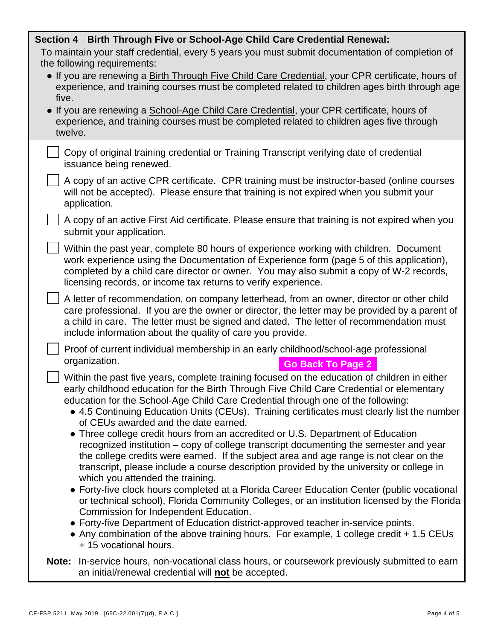| Section 4 Birth Through Five or School-Age Child Care Credential Renewal:                                                                                                                                                                                                                                                                                                                                                                                                                                                                                                                                                                                                                                                                                                                                                                                                                                                                                                                                                                                       |  |  |  |  |  |
|-----------------------------------------------------------------------------------------------------------------------------------------------------------------------------------------------------------------------------------------------------------------------------------------------------------------------------------------------------------------------------------------------------------------------------------------------------------------------------------------------------------------------------------------------------------------------------------------------------------------------------------------------------------------------------------------------------------------------------------------------------------------------------------------------------------------------------------------------------------------------------------------------------------------------------------------------------------------------------------------------------------------------------------------------------------------|--|--|--|--|--|
| To maintain your staff credential, every 5 years you must submit documentation of completion of                                                                                                                                                                                                                                                                                                                                                                                                                                                                                                                                                                                                                                                                                                                                                                                                                                                                                                                                                                 |  |  |  |  |  |
| the following requirements:<br>• If you are renewing a Birth Through Five Child Care Credential, your CPR certificate, hours of<br>experience, and training courses must be completed related to children ages birth through age<br>five.                                                                                                                                                                                                                                                                                                                                                                                                                                                                                                                                                                                                                                                                                                                                                                                                                       |  |  |  |  |  |
| • If you are renewing a School-Age Child Care Credential, your CPR certificate, hours of<br>experience, and training courses must be completed related to children ages five through<br>twelve.                                                                                                                                                                                                                                                                                                                                                                                                                                                                                                                                                                                                                                                                                                                                                                                                                                                                 |  |  |  |  |  |
| Copy of original training credential or Training Transcript verifying date of credential<br>issuance being renewed.                                                                                                                                                                                                                                                                                                                                                                                                                                                                                                                                                                                                                                                                                                                                                                                                                                                                                                                                             |  |  |  |  |  |
| A copy of an active CPR certificate. CPR training must be instructor-based (online courses<br>will not be accepted). Please ensure that training is not expired when you submit your<br>application.                                                                                                                                                                                                                                                                                                                                                                                                                                                                                                                                                                                                                                                                                                                                                                                                                                                            |  |  |  |  |  |
| A copy of an active First Aid certificate. Please ensure that training is not expired when you<br>submit your application.                                                                                                                                                                                                                                                                                                                                                                                                                                                                                                                                                                                                                                                                                                                                                                                                                                                                                                                                      |  |  |  |  |  |
| Within the past year, complete 80 hours of experience working with children. Document<br>work experience using the Documentation of Experience form (page 5 of this application),<br>completed by a child care director or owner. You may also submit a copy of W-2 records,<br>licensing records, or income tax returns to verify experience.                                                                                                                                                                                                                                                                                                                                                                                                                                                                                                                                                                                                                                                                                                                  |  |  |  |  |  |
| A letter of recommendation, on company letterhead, from an owner, director or other child<br>care professional. If you are the owner or director, the letter may be provided by a parent of<br>a child in care. The letter must be signed and dated. The letter of recommendation must<br>include information about the quality of care you provide.                                                                                                                                                                                                                                                                                                                                                                                                                                                                                                                                                                                                                                                                                                            |  |  |  |  |  |
| Proof of current individual membership in an early childhood/school-age professional<br>organization.<br><b>Go Back To Page 2</b>                                                                                                                                                                                                                                                                                                                                                                                                                                                                                                                                                                                                                                                                                                                                                                                                                                                                                                                               |  |  |  |  |  |
| Within the past five years, complete training focused on the education of children in either<br>early childhood education for the Birth Through Five Child Care Credential or elementary<br>education for the School-Age Child Care Credential through one of the following:<br>• 4.5 Continuing Education Units (CEUs). Training certificates must clearly list the number<br>of CEUs awarded and the date earned.<br>• Three college credit hours from an accredited or U.S. Department of Education<br>recognized institution – copy of college transcript documenting the semester and year<br>the college credits were earned. If the subject area and age range is not clear on the<br>transcript, please include a course description provided by the university or college in<br>which you attended the training.<br>• Forty-five clock hours completed at a Florida Career Education Center (public vocational<br>or technical school), Florida Community Colleges, or an institution licensed by the Florida<br>Commission for Independent Education. |  |  |  |  |  |
| • Forty-five Department of Education district-approved teacher in-service points.<br>• Any combination of the above training hours. For example, 1 college credit + 1.5 CEUs<br>+ 15 vocational hours.                                                                                                                                                                                                                                                                                                                                                                                                                                                                                                                                                                                                                                                                                                                                                                                                                                                          |  |  |  |  |  |
| Note: In-service hours, non-vocational class hours, or coursework previously submitted to earn<br>an initial/renewal credential will not be accepted.                                                                                                                                                                                                                                                                                                                                                                                                                                                                                                                                                                                                                                                                                                                                                                                                                                                                                                           |  |  |  |  |  |